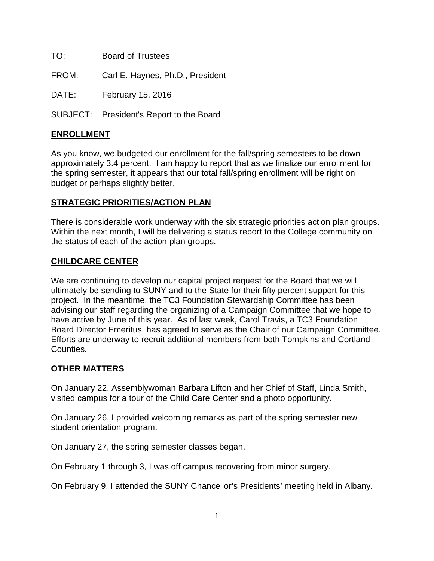TO: Board of Trustees

FROM: Carl E. Haynes, Ph.D., President

DATE: February 15, 2016

SUBJECT: President's Report to the Board

## **ENROLLMENT**

As you know, we budgeted our enrollment for the fall/spring semesters to be down approximately 3.4 percent. I am happy to report that as we finalize our enrollment for the spring semester, it appears that our total fall/spring enrollment will be right on budget or perhaps slightly better.

## **STRATEGIC PRIORITIES/ACTION PLAN**

There is considerable work underway with the six strategic priorities action plan groups. Within the next month, I will be delivering a status report to the College community on the status of each of the action plan groups.

## **CHILDCARE CENTER**

We are continuing to develop our capital project request for the Board that we will ultimately be sending to SUNY and to the State for their fifty percent support for this project. In the meantime, the TC3 Foundation Stewardship Committee has been advising our staff regarding the organizing of a Campaign Committee that we hope to have active by June of this year. As of last week, Carol Travis, a TC3 Foundation Board Director Emeritus, has agreed to serve as the Chair of our Campaign Committee. Efforts are underway to recruit additional members from both Tompkins and Cortland Counties.

## **OTHER MATTERS**

On January 22, Assemblywoman Barbara Lifton and her Chief of Staff, Linda Smith, visited campus for a tour of the Child Care Center and a photo opportunity.

On January 26, I provided welcoming remarks as part of the spring semester new student orientation program.

On January 27, the spring semester classes began.

On February 1 through 3, I was off campus recovering from minor surgery.

On February 9, I attended the SUNY Chancellor's Presidents' meeting held in Albany.